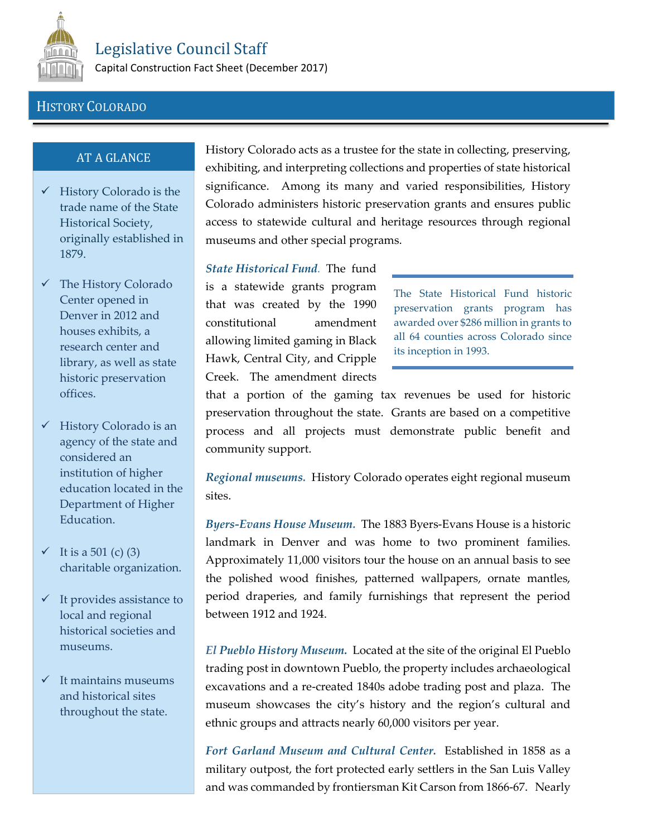

Capital Construction Fact Sheet (December 2017)

## HISTORY COLORADO

## AT A GLANCE

- $\checkmark$  History Colorado is the trade name of the State Historical Society, originally established in 1879.
- $\checkmark$  The History Colorado Center opened in Denver in 2012 and houses exhibits, a research center and library, as well as state historic preservation offices.
- $\checkmark$  History Colorado is an agency of the state and considered an institution of higher education located in the Department of Higher Education.
- $\checkmark$  It is a 501 (c) (3) charitable organization.
- $\checkmark$  It provides assistance to local and regional historical societies and museums.
- $\checkmark$  It maintains museums and historical sites throughout the state.

History Colorado acts as a trustee for the state in collecting, preserving, exhibiting, and interpreting collections and properties of state historical significance. Among its many and varied responsibilities, History Colorado administers historic preservation grants and ensures public access to statewide cultural and heritage resources through regional museums and other special programs.

*State Historical Fund.* The fund is a statewide grants program that was created by the 1990 constitutional amendment allowing limited gaming in Black Hawk, Central City, and Cripple Creek. The amendment directs

The State Historical Fund historic preservation grants program has awarded over \$286 million in grants to all 64 counties across Colorado since its inception in 1993.

that a portion of the gaming tax revenues be used for historic preservation throughout the state. Grants are based on a competitive process and all projects must demonstrate public benefit and community support.

*Regional museums.* History Colorado operates eight regional museum sites.

*Byers-Evans House Museum.* The 1883 Byers-Evans House is a historic landmark in Denver and was home to two prominent families. Approximately 11,000 visitors tour the house on an annual basis to see the polished wood finishes, patterned wallpapers, ornate mantles, period draperies, and family furnishings that represent the period between 1912 and 1924.

*El Pueblo History Museum.* Located at the site of the original El Pueblo trading post in downtown Pueblo, the property includes archaeological excavations and a re-created 1840s adobe trading post and plaza. The museum showcases the city's history and the region's cultural and ethnic groups and attracts nearly 60,000 visitors per year.

*Fort Garland Museum and Cultural Center.* Established in 1858 as a military outpost, the fort protected early settlers in the San Luis Valley and was commanded by frontiersman Kit Carson from 1866-67. Nearly